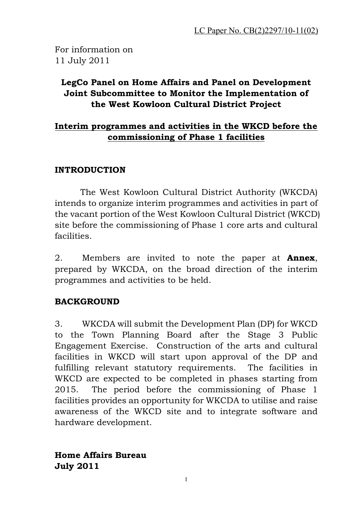For information on 11 July 2011

## LegCo Panel on Home Affairs and Panel on Development Joint Subcommittee to Monitor the Implementation of the West Kowloon Cultural District Project

### Interim programmes and activities in the WKCD before the commissioning of Phase 1 facilities

#### INTRODUCTION

The West Kowloon Cultural District Authority (WKCDA) intends to organize interim programmes and activities in part of the vacant portion of the West Kowloon Cultural District (WKCD) site before the commissioning of Phase 1 core arts and cultural facilities.

2. Members are invited to note the paper at **Annex**, prepared by WKCDA, on the broad direction of the interim programmes and activities to be held.

#### BACKGROUND

3. WKCDA will submit the Development Plan (DP) for WKCD to the Town Planning Board after the Stage 3 Public Engagement Exercise. Construction of the arts and cultural facilities in WKCD will start upon approval of the DP and fulfilling relevant statutory requirements. The facilities in WKCD are expected to be completed in phases starting from 2015. The period before the commissioning of Phase 1 facilities provides an opportunity for WKCDA to utilise and raise awareness of the WKCD site and to integrate software and hardware development.

Home Affairs Bureau July 2011

1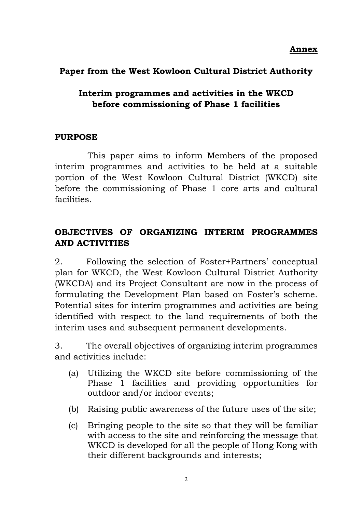Annex

## Paper from the West Kowloon Cultural District Authority

## Interim programmes and activities in the WKCD before commissioning of Phase 1 facilities

#### PURPOSE

This paper aims to inform Members of the proposed interim programmes and activities to be held at a suitable portion of the West Kowloon Cultural District (WKCD) site before the commissioning of Phase 1 core arts and cultural facilities.

# OBJECTIVES OF ORGANIZING INTERIM PROGRAMMES AND ACTIVITIES

2. Following the selection of Foster+Partners' conceptual plan for WKCD, the West Kowloon Cultural District Authority (WKCDA) and its Project Consultant are now in the process of formulating the Development Plan based on Foster's scheme. Potential sites for interim programmes and activities are being identified with respect to the land requirements of both the interim uses and subsequent permanent developments.

3. The overall objectives of organizing interim programmes and activities include:

- (a) Utilizing the WKCD site before commissioning of the Phase 1 facilities and providing opportunities for outdoor and/or indoor events;
- (b) Raising public awareness of the future uses of the site;
- (c) Bringing people to the site so that they will be familiar with access to the site and reinforcing the message that WKCD is developed for all the people of Hong Kong with their different backgrounds and interests;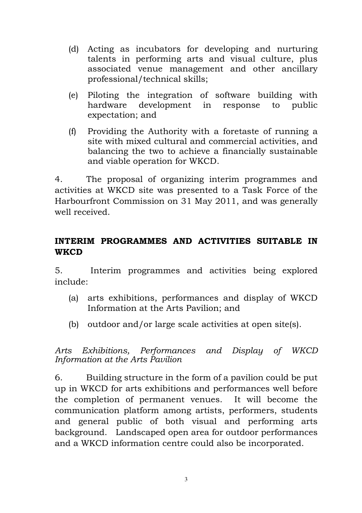- (d) Acting as incubators for developing and nurturing talents in performing arts and visual culture, plus associated venue management and other ancillary professional/technical skills;
- (e) Piloting the integration of software building with hardware development in response to public expectation; and
- (f) Providing the Authority with a foretaste of running a site with mixed cultural and commercial activities, and balancing the two to achieve a financially sustainable and viable operation for WKCD.

4. The proposal of organizing interim programmes and activities at WKCD site was presented to a Task Force of the Harbourfront Commission on 31 May 2011, and was generally well received.

## INTERIM PROGRAMMES AND ACTIVITIES SUITABLE IN **WKCD**

5. Interim programmes and activities being explored include:

- (a) arts exhibitions, performances and display of WKCD Information at the Arts Pavilion; and
- (b) outdoor and/or large scale activities at open site(s).

Arts Exhibitions, Performances and Display of WKCD Information at the Arts Pavilion

6. Building structure in the form of a pavilion could be put up in WKCD for arts exhibitions and performances well before the completion of permanent venues. It will become the communication platform among artists, performers, students and general public of both visual and performing arts background. Landscaped open area for outdoor performances and a WKCD information centre could also be incorporated.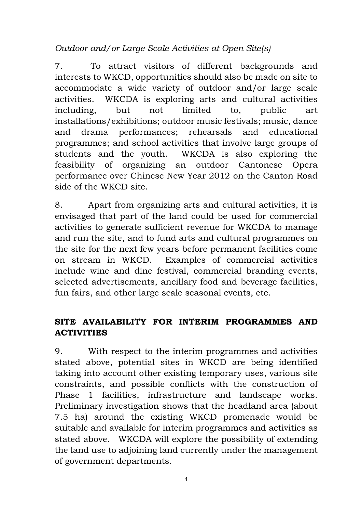Outdoor and/or Large Scale Activities at Open Site(s)

7. To attract visitors of different backgrounds and interests to WKCD, opportunities should also be made on site to accommodate a wide variety of outdoor and/or large scale activities. WKCDA is exploring arts and cultural activities including, but not limited to, public art installations/exhibitions; outdoor music festivals; music, dance and drama performances; rehearsals and educational programmes; and school activities that involve large groups of students and the youth. WKCDA is also exploring the feasibility of organizing an outdoor Cantonese Opera performance over Chinese New Year 2012 on the Canton Road side of the WKCD site.

8. Apart from organizing arts and cultural activities, it is envisaged that part of the land could be used for commercial activities to generate sufficient revenue for WKCDA to manage and run the site, and to fund arts and cultural programmes on the site for the next few years before permanent facilities come on stream in WKCD. Examples of commercial activities include wine and dine festival, commercial branding events, selected advertisements, ancillary food and beverage facilities, fun fairs, and other large scale seasonal events, etc.

# SITE AVAILABILITY FOR INTERIM PROGRAMMES AND **ACTIVITIES**

9. With respect to the interim programmes and activities stated above, potential sites in WKCD are being identified taking into account other existing temporary uses, various site constraints, and possible conflicts with the construction of Phase 1 facilities, infrastructure and landscape works. Preliminary investigation shows that the headland area (about 7.5 ha) around the existing WKCD promenade would be suitable and available for interim programmes and activities as stated above. WKCDA will explore the possibility of extending the land use to adjoining land currently under the management of government departments.